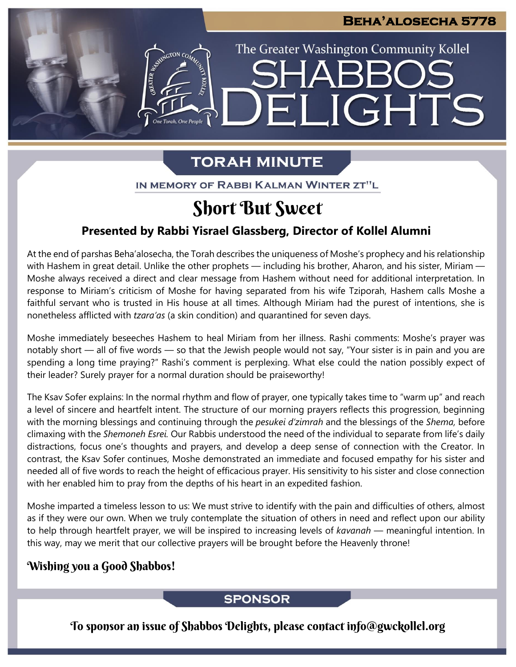The Greater Washington Community Kollel

ELIGHTS

# **TORAH MINUTE**

IN MEMORY OF RABBI KALMAN WINTER ZT"L

# Short But Sweet

### **Presented by Rabbi Yisrael Glassberg, Director of Kollel Alumni**

At the end of parshas Beha'alosecha, the Torah describes the uniqueness of Moshe's prophecy and his relationship with Hashem in great detail. Unlike the other prophets — including his brother, Aharon, and his sister, Miriam — Moshe always received a direct and clear message from Hashem without need for additional interpretation. In response to Miriam's criticism of Moshe for having separated from his wife Tziporah, Hashem calls Moshe a faithful servant who is trusted in His house at all times. Although Miriam had the purest of intentions, she is nonetheless afflicted with *tzara'as* (a skin condition) and quarantined for seven days.

Moshe immediately beseeches Hashem to heal Miriam from her illness. Rashi comments: Moshe's prayer was notably short — all of five words — so that the Jewish people would not say, "Your sister is in pain and you are spending a long time praying?" Rashi's comment is perplexing. What else could the nation possibly expect of their leader? Surely prayer for a normal duration should be praiseworthy!

The Ksav Sofer explains: In the normal rhythm and flow of prayer, one typically takes time to "warm up" and reach a level of sincere and heartfelt intent. The structure of our morning prayers reflects this progression, beginning with the morning blessings and continuing through the *pesukei d'zimrah* and the blessings of the *Shema,* before climaxing with the *Shemoneh Esrei.* Our Rabbis understood the need of the individual to separate from life's daily distractions, focus one's thoughts and prayers, and develop a deep sense of connection with the Creator. In contrast, the Ksav Sofer continues, Moshe demonstrated an immediate and focused empathy for his sister and needed all of five words to reach the height of efficacious prayer. His sensitivity to his sister and close connection with her enabled him to pray from the depths of his heart in an expedited fashion.

Moshe imparted a timeless lesson to us: We must strive to identify with the pain and difficulties of others, almost as if they were our own. When we truly contemplate the situation of others in need and reflect upon our ability to help through heartfelt prayer, we will be inspired to increasing levels of *kavanah* — meaningful intention. In this way, may we merit that our collective prayers will be brought before the Heavenly throne!

### Wishing you a Good Shabbos!

### **SPONSOR**

To sponsor an issue of Shabbos Delights, please contact info@gwckollel.org